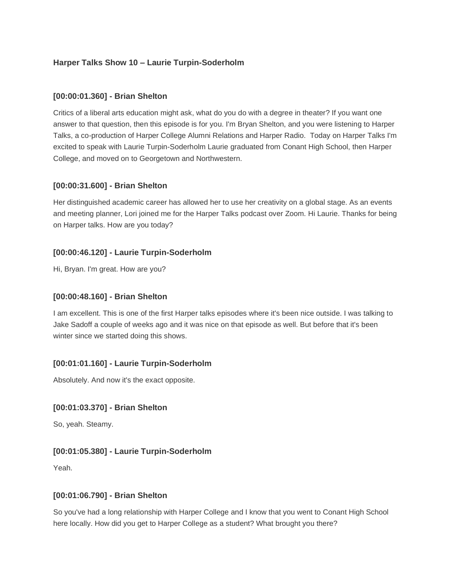### **Harper Talks Show 10 – Laurie Turpin-Soderholm**

#### **[00:00:01.360] - Brian Shelton**

Critics of a liberal arts education might ask, what do you do with a degree in theater? If you want one answer to that question, then this episode is for you. I'm Bryan Shelton, and you were listening to Harper Talks, a co-production of Harper College Alumni Relations and Harper Radio. Today on Harper Talks I'm excited to speak with Laurie Turpin-Soderholm Laurie graduated from Conant High School, then Harper College, and moved on to Georgetown and Northwestern.

#### **[00:00:31.600] - Brian Shelton**

Her distinguished academic career has allowed her to use her creativity on a global stage. As an events and meeting planner, Lori joined me for the Harper Talks podcast over Zoom. Hi Laurie. Thanks for being on Harper talks. How are you today?

### **[00:00:46.120] - Laurie Turpin-Soderholm**

Hi, Bryan. I'm great. How are you?

#### **[00:00:48.160] - Brian Shelton**

I am excellent. This is one of the first Harper talks episodes where it's been nice outside. I was talking to Jake Sadoff a couple of weeks ago and it was nice on that episode as well. But before that it's been winter since we started doing this shows.

### **[00:01:01.160] - Laurie Turpin-Soderholm**

Absolutely. And now it's the exact opposite.

### **[00:01:03.370] - Brian Shelton**

So, yeah. Steamy.

### **[00:01:05.380] - Laurie Turpin-Soderholm**

Yeah.

#### **[00:01:06.790] - Brian Shelton**

So you've had a long relationship with Harper College and I know that you went to Conant High School here locally. How did you get to Harper College as a student? What brought you there?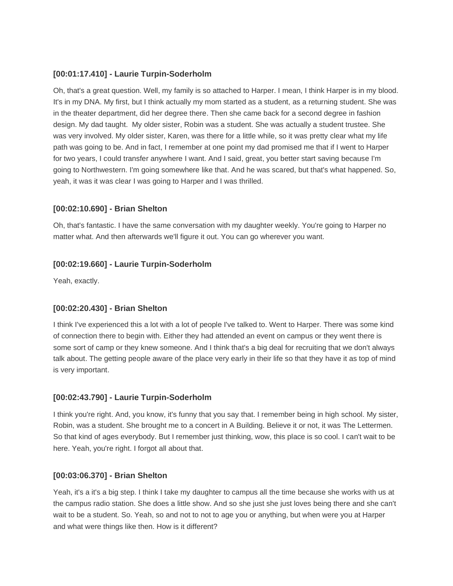### **[00:01:17.410] - Laurie Turpin-Soderholm**

Oh, that's a great question. Well, my family is so attached to Harper. I mean, I think Harper is in my blood. It's in my DNA. My first, but I think actually my mom started as a student, as a returning student. She was in the theater department, did her degree there. Then she came back for a second degree in fashion design. My dad taught. My older sister, Robin was a student. She was actually a student trustee. She was very involved. My older sister, Karen, was there for a little while, so it was pretty clear what my life path was going to be. And in fact, I remember at one point my dad promised me that if I went to Harper for two years, I could transfer anywhere I want. And I said, great, you better start saving because I'm going to Northwestern. I'm going somewhere like that. And he was scared, but that's what happened. So, yeah, it was it was clear I was going to Harper and I was thrilled.

### **[00:02:10.690] - Brian Shelton**

Oh, that's fantastic. I have the same conversation with my daughter weekly. You're going to Harper no matter what. And then afterwards we'll figure it out. You can go wherever you want.

### **[00:02:19.660] - Laurie Turpin-Soderholm**

Yeah, exactly.

### **[00:02:20.430] - Brian Shelton**

I think I've experienced this a lot with a lot of people I've talked to. Went to Harper. There was some kind of connection there to begin with. Either they had attended an event on campus or they went there is some sort of camp or they knew someone. And I think that's a big deal for recruiting that we don't always talk about. The getting people aware of the place very early in their life so that they have it as top of mind is very important.

### **[00:02:43.790] - Laurie Turpin-Soderholm**

I think you're right. And, you know, it's funny that you say that. I remember being in high school. My sister, Robin, was a student. She brought me to a concert in A Building. Believe it or not, it was The Lettermen. So that kind of ages everybody. But I remember just thinking, wow, this place is so cool. I can't wait to be here. Yeah, you're right. I forgot all about that.

### **[00:03:06.370] - Brian Shelton**

Yeah, it's a it's a big step. I think I take my daughter to campus all the time because she works with us at the campus radio station. She does a little show. And so she just she just loves being there and she can't wait to be a student. So. Yeah, so and not to not to age you or anything, but when were you at Harper and what were things like then. How is it different?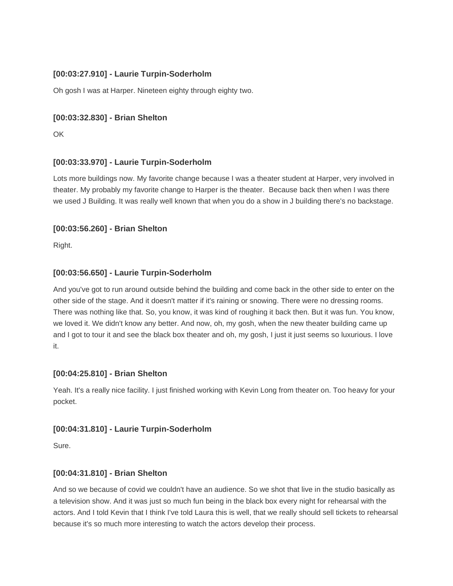## **[00:03:27.910] - Laurie Turpin-Soderholm**

Oh gosh I was at Harper. Nineteen eighty through eighty two.

### **[00:03:32.830] - Brian Shelton**

OK

## **[00:03:33.970] - Laurie Turpin-Soderholm**

Lots more buildings now. My favorite change because I was a theater student at Harper, very involved in theater. My probably my favorite change to Harper is the theater. Because back then when I was there we used J Building. It was really well known that when you do a show in J building there's no backstage.

### **[00:03:56.260] - Brian Shelton**

Right.

## **[00:03:56.650] - Laurie Turpin-Soderholm**

And you've got to run around outside behind the building and come back in the other side to enter on the other side of the stage. And it doesn't matter if it's raining or snowing. There were no dressing rooms. There was nothing like that. So, you know, it was kind of roughing it back then. But it was fun. You know, we loved it. We didn't know any better. And now, oh, my gosh, when the new theater building came up and I got to tour it and see the black box theater and oh, my gosh, I just it just seems so luxurious. I love it.

### **[00:04:25.810] - Brian Shelton**

Yeah. It's a really nice facility. I just finished working with Kevin Long from theater on. Too heavy for your pocket.

### **[00:04:31.810] - Laurie Turpin-Soderholm**

Sure.

### **[00:04:31.810] - Brian Shelton**

And so we because of covid we couldn't have an audience. So we shot that live in the studio basically as a television show. And it was just so much fun being in the black box every night for rehearsal with the actors. And I told Kevin that I think I've told Laura this is well, that we really should sell tickets to rehearsal because it's so much more interesting to watch the actors develop their process.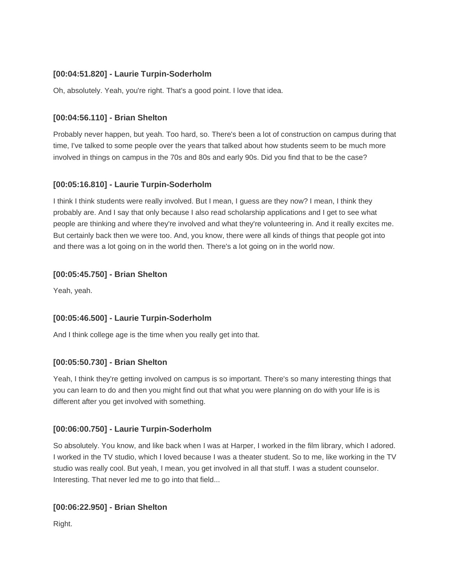## **[00:04:51.820] - Laurie Turpin-Soderholm**

Oh, absolutely. Yeah, you're right. That's a good point. I love that idea.

### **[00:04:56.110] - Brian Shelton**

Probably never happen, but yeah. Too hard, so. There's been a lot of construction on campus during that time, I've talked to some people over the years that talked about how students seem to be much more involved in things on campus in the 70s and 80s and early 90s. Did you find that to be the case?

## **[00:05:16.810] - Laurie Turpin-Soderholm**

I think I think students were really involved. But I mean, I guess are they now? I mean, I think they probably are. And I say that only because I also read scholarship applications and I get to see what people are thinking and where they're involved and what they're volunteering in. And it really excites me. But certainly back then we were too. And, you know, there were all kinds of things that people got into and there was a lot going on in the world then. There's a lot going on in the world now.

### **[00:05:45.750] - Brian Shelton**

Yeah, yeah.

### **[00:05:46.500] - Laurie Turpin-Soderholm**

And I think college age is the time when you really get into that.

### **[00:05:50.730] - Brian Shelton**

Yeah, I think they're getting involved on campus is so important. There's so many interesting things that you can learn to do and then you might find out that what you were planning on do with your life is is different after you get involved with something.

# **[00:06:00.750] - Laurie Turpin-Soderholm**

So absolutely. You know, and like back when I was at Harper, I worked in the film library, which I adored. I worked in the TV studio, which I loved because I was a theater student. So to me, like working in the TV studio was really cool. But yeah, I mean, you get involved in all that stuff. I was a student counselor. Interesting. That never led me to go into that field...

### **[00:06:22.950] - Brian Shelton**

Right.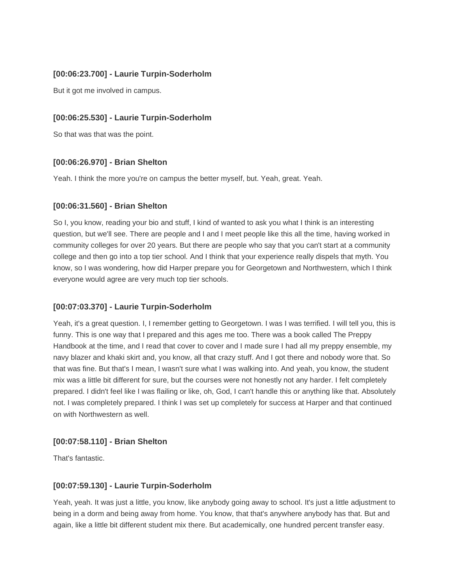### **[00:06:23.700] - Laurie Turpin-Soderholm**

But it got me involved in campus.

### **[00:06:25.530] - Laurie Turpin-Soderholm**

So that was that was the point.

### **[00:06:26.970] - Brian Shelton**

Yeah. I think the more you're on campus the better myself, but. Yeah, great. Yeah.

#### **[00:06:31.560] - Brian Shelton**

So I, you know, reading your bio and stuff, I kind of wanted to ask you what I think is an interesting question, but we'll see. There are people and I and I meet people like this all the time, having worked in community colleges for over 20 years. But there are people who say that you can't start at a community college and then go into a top tier school. And I think that your experience really dispels that myth. You know, so I was wondering, how did Harper prepare you for Georgetown and Northwestern, which I think everyone would agree are very much top tier schools.

### **[00:07:03.370] - Laurie Turpin-Soderholm**

Yeah, it's a great question. I, I remember getting to Georgetown. I was I was terrified. I will tell you, this is funny. This is one way that I prepared and this ages me too. There was a book called The Preppy Handbook at the time, and I read that cover to cover and I made sure I had all my preppy ensemble, my navy blazer and khaki skirt and, you know, all that crazy stuff. And I got there and nobody wore that. So that was fine. But that's I mean, I wasn't sure what I was walking into. And yeah, you know, the student mix was a little bit different for sure, but the courses were not honestly not any harder. I felt completely prepared. I didn't feel like I was flailing or like, oh, God, I can't handle this or anything like that. Absolutely not. I was completely prepared. I think I was set up completely for success at Harper and that continued on with Northwestern as well.

### **[00:07:58.110] - Brian Shelton**

That's fantastic.

### **[00:07:59.130] - Laurie Turpin-Soderholm**

Yeah, yeah. It was just a little, you know, like anybody going away to school. It's just a little adjustment to being in a dorm and being away from home. You know, that that's anywhere anybody has that. But and again, like a little bit different student mix there. But academically, one hundred percent transfer easy.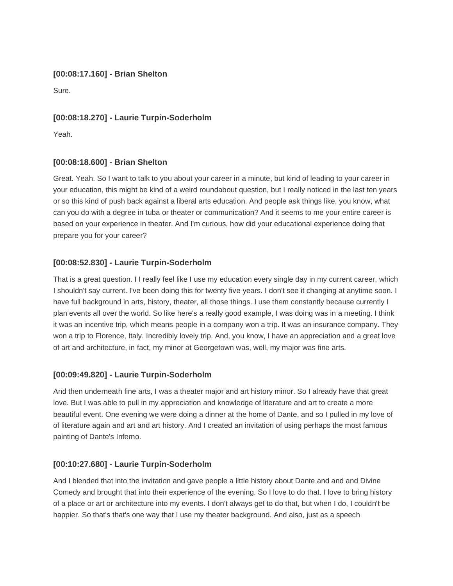#### **[00:08:17.160] - Brian Shelton**

Sure.

## **[00:08:18.270] - Laurie Turpin-Soderholm**

Yeah.

## **[00:08:18.600] - Brian Shelton**

Great. Yeah. So I want to talk to you about your career in a minute, but kind of leading to your career in your education, this might be kind of a weird roundabout question, but I really noticed in the last ten years or so this kind of push back against a liberal arts education. And people ask things like, you know, what can you do with a degree in tuba or theater or communication? And it seems to me your entire career is based on your experience in theater. And I'm curious, how did your educational experience doing that prepare you for your career?

## **[00:08:52.830] - Laurie Turpin-Soderholm**

That is a great question. I I really feel like I use my education every single day in my current career, which I shouldn't say current. I've been doing this for twenty five years. I don't see it changing at anytime soon. I have full background in arts, history, theater, all those things. I use them constantly because currently I plan events all over the world. So like here's a really good example, I was doing was in a meeting. I think it was an incentive trip, which means people in a company won a trip. It was an insurance company. They won a trip to Florence, Italy. Incredibly lovely trip. And, you know, I have an appreciation and a great love of art and architecture, in fact, my minor at Georgetown was, well, my major was fine arts.

# **[00:09:49.820] - Laurie Turpin-Soderholm**

And then underneath fine arts, I was a theater major and art history minor. So I already have that great love. But I was able to pull in my appreciation and knowledge of literature and art to create a more beautiful event. One evening we were doing a dinner at the home of Dante, and so I pulled in my love of of literature again and art and art history. And I created an invitation of using perhaps the most famous painting of Dante's Inferno.

# **[00:10:27.680] - Laurie Turpin-Soderholm**

And I blended that into the invitation and gave people a little history about Dante and and and Divine Comedy and brought that into their experience of the evening. So I love to do that. I love to bring history of a place or art or architecture into my events. I don't always get to do that, but when I do, I couldn't be happier. So that's that's one way that I use my theater background. And also, just as a speech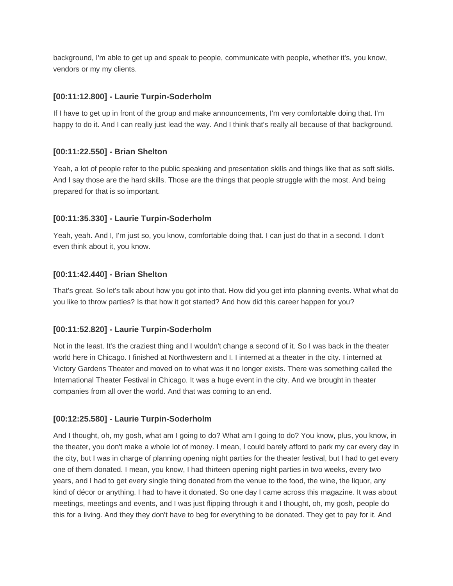background, I'm able to get up and speak to people, communicate with people, whether it's, you know, vendors or my my clients.

### **[00:11:12.800] - Laurie Turpin-Soderholm**

If I have to get up in front of the group and make announcements, I'm very comfortable doing that. I'm happy to do it. And I can really just lead the way. And I think that's really all because of that background.

#### **[00:11:22.550] - Brian Shelton**

Yeah, a lot of people refer to the public speaking and presentation skills and things like that as soft skills. And I say those are the hard skills. Those are the things that people struggle with the most. And being prepared for that is so important.

#### **[00:11:35.330] - Laurie Turpin-Soderholm**

Yeah, yeah. And I, I'm just so, you know, comfortable doing that. I can just do that in a second. I don't even think about it, you know.

#### **[00:11:42.440] - Brian Shelton**

That's great. So let's talk about how you got into that. How did you get into planning events. What what do you like to throw parties? Is that how it got started? And how did this career happen for you?

### **[00:11:52.820] - Laurie Turpin-Soderholm**

Not in the least. It's the craziest thing and I wouldn't change a second of it. So I was back in the theater world here in Chicago. I finished at Northwestern and I. I interned at a theater in the city. I interned at Victory Gardens Theater and moved on to what was it no longer exists. There was something called the International Theater Festival in Chicago. It was a huge event in the city. And we brought in theater companies from all over the world. And that was coming to an end.

### **[00:12:25.580] - Laurie Turpin-Soderholm**

And I thought, oh, my gosh, what am I going to do? What am I going to do? You know, plus, you know, in the theater, you don't make a whole lot of money. I mean, I could barely afford to park my car every day in the city, but I was in charge of planning opening night parties for the theater festival, but I had to get every one of them donated. I mean, you know, I had thirteen opening night parties in two weeks, every two years, and I had to get every single thing donated from the venue to the food, the wine, the liquor, any kind of décor or anything. I had to have it donated. So one day I came across this magazine. It was about meetings, meetings and events, and I was just flipping through it and I thought, oh, my gosh, people do this for a living. And they they don't have to beg for everything to be donated. They get to pay for it. And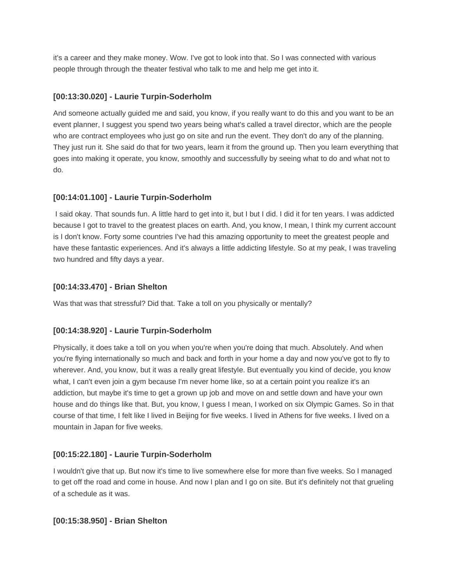it's a career and they make money. Wow. I've got to look into that. So I was connected with various people through through the theater festival who talk to me and help me get into it.

### **[00:13:30.020] - Laurie Turpin-Soderholm**

And someone actually guided me and said, you know, if you really want to do this and you want to be an event planner, I suggest you spend two years being what's called a travel director, which are the people who are contract employees who just go on site and run the event. They don't do any of the planning. They just run it. She said do that for two years, learn it from the ground up. Then you learn everything that goes into making it operate, you know, smoothly and successfully by seeing what to do and what not to do.

## **[00:14:01.100] - Laurie Turpin-Soderholm**

I said okay. That sounds fun. A little hard to get into it, but I but I did. I did it for ten years. I was addicted because I got to travel to the greatest places on earth. And, you know, I mean, I think my current account is I don't know. Forty some countries I've had this amazing opportunity to meet the greatest people and have these fantastic experiences. And it's always a little addicting lifestyle. So at my peak, I was traveling two hundred and fifty days a year.

## **[00:14:33.470] - Brian Shelton**

Was that was that stressful? Did that. Take a toll on you physically or mentally?

# **[00:14:38.920] - Laurie Turpin-Soderholm**

Physically, it does take a toll on you when you're when you're doing that much. Absolutely. And when you're flying internationally so much and back and forth in your home a day and now you've got to fly to wherever. And, you know, but it was a really great lifestyle. But eventually you kind of decide, you know what, I can't even join a gym because I'm never home like, so at a certain point you realize it's an addiction, but maybe it's time to get a grown up job and move on and settle down and have your own house and do things like that. But, you know, I guess I mean, I worked on six Olympic Games. So in that course of that time, I felt like I lived in Beijing for five weeks. I lived in Athens for five weeks. I lived on a mountain in Japan for five weeks.

# **[00:15:22.180] - Laurie Turpin-Soderholm**

I wouldn't give that up. But now it's time to live somewhere else for more than five weeks. So I managed to get off the road and come in house. And now I plan and I go on site. But it's definitely not that grueling of a schedule as it was.

### **[00:15:38.950] - Brian Shelton**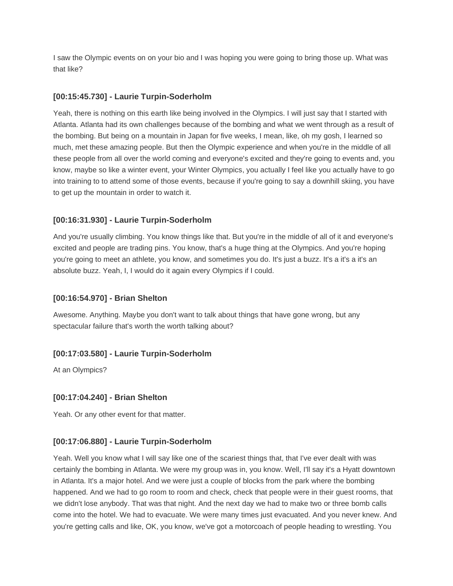I saw the Olympic events on on your bio and I was hoping you were going to bring those up. What was that like?

### **[00:15:45.730] - Laurie Turpin-Soderholm**

Yeah, there is nothing on this earth like being involved in the Olympics. I will just say that I started with Atlanta. Atlanta had its own challenges because of the bombing and what we went through as a result of the bombing. But being on a mountain in Japan for five weeks, I mean, like, oh my gosh, I learned so much, met these amazing people. But then the Olympic experience and when you're in the middle of all these people from all over the world coming and everyone's excited and they're going to events and, you know, maybe so like a winter event, your Winter Olympics, you actually I feel like you actually have to go into training to to attend some of those events, because if you're going to say a downhill skiing, you have to get up the mountain in order to watch it.

## **[00:16:31.930] - Laurie Turpin-Soderholm**

And you're usually climbing. You know things like that. But you're in the middle of all of it and everyone's excited and people are trading pins. You know, that's a huge thing at the Olympics. And you're hoping you're going to meet an athlete, you know, and sometimes you do. It's just a buzz. It's a it's a it's an absolute buzz. Yeah, I, I would do it again every Olympics if I could.

### **[00:16:54.970] - Brian Shelton**

Awesome. Anything. Maybe you don't want to talk about things that have gone wrong, but any spectacular failure that's worth the worth talking about?

# **[00:17:03.580] - Laurie Turpin-Soderholm**

At an Olympics?

### **[00:17:04.240] - Brian Shelton**

Yeah. Or any other event for that matter.

# **[00:17:06.880] - Laurie Turpin-Soderholm**

Yeah. Well you know what I will say like one of the scariest things that, that I've ever dealt with was certainly the bombing in Atlanta. We were my group was in, you know. Well, I'll say it's a Hyatt downtown in Atlanta. It's a major hotel. And we were just a couple of blocks from the park where the bombing happened. And we had to go room to room and check, check that people were in their guest rooms, that we didn't lose anybody. That was that night. And the next day we had to make two or three bomb calls come into the hotel. We had to evacuate. We were many times just evacuated. And you never knew. And you're getting calls and like, OK, you know, we've got a motorcoach of people heading to wrestling. You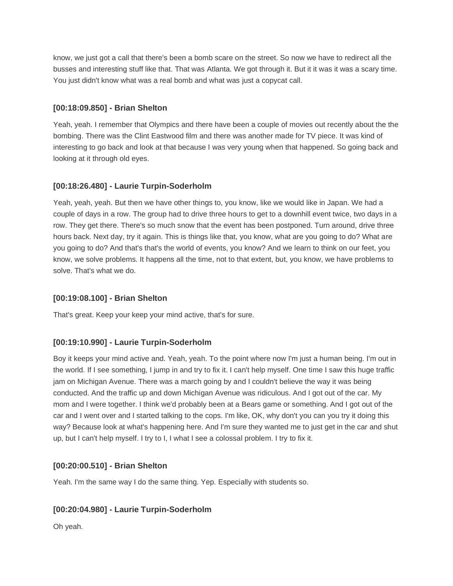know, we just got a call that there's been a bomb scare on the street. So now we have to redirect all the busses and interesting stuff like that. That was Atlanta. We got through it. But it it was it was a scary time. You just didn't know what was a real bomb and what was just a copycat call.

## **[00:18:09.850] - Brian Shelton**

Yeah, yeah. I remember that Olympics and there have been a couple of movies out recently about the the bombing. There was the Clint Eastwood film and there was another made for TV piece. It was kind of interesting to go back and look at that because I was very young when that happened. So going back and looking at it through old eyes.

# **[00:18:26.480] - Laurie Turpin-Soderholm**

Yeah, yeah, yeah. But then we have other things to, you know, like we would like in Japan. We had a couple of days in a row. The group had to drive three hours to get to a downhill event twice, two days in a row. They get there. There's so much snow that the event has been postponed. Turn around, drive three hours back. Next day, try it again. This is things like that, you know, what are you going to do? What are you going to do? And that's that's the world of events, you know? And we learn to think on our feet, you know, we solve problems. It happens all the time, not to that extent, but, you know, we have problems to solve. That's what we do.

### **[00:19:08.100] - Brian Shelton**

That's great. Keep your keep your mind active, that's for sure.

# **[00:19:10.990] - Laurie Turpin-Soderholm**

Boy it keeps your mind active and. Yeah, yeah. To the point where now I'm just a human being. I'm out in the world. If I see something, I jump in and try to fix it. I can't help myself. One time I saw this huge traffic jam on Michigan Avenue. There was a march going by and I couldn't believe the way it was being conducted. And the traffic up and down Michigan Avenue was ridiculous. And I got out of the car. My mom and I were together. I think we'd probably been at a Bears game or something. And I got out of the car and I went over and I started talking to the cops. I'm like, OK, why don't you can you try it doing this way? Because look at what's happening here. And I'm sure they wanted me to just get in the car and shut up, but I can't help myself. I try to I, I what I see a colossal problem. I try to fix it.

### **[00:20:00.510] - Brian Shelton**

Yeah. I'm the same way I do the same thing. Yep. Especially with students so.

# **[00:20:04.980] - Laurie Turpin-Soderholm**

Oh yeah.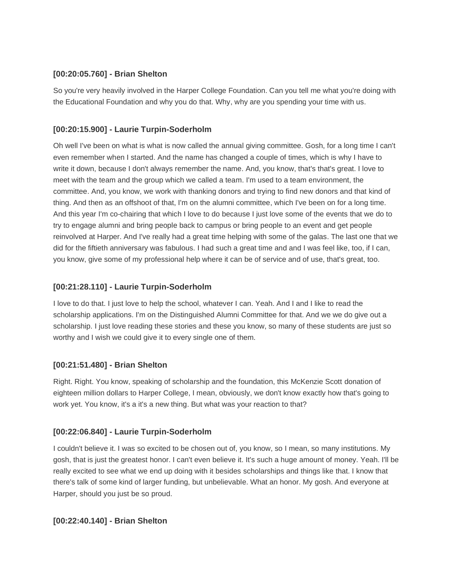### **[00:20:05.760] - Brian Shelton**

So you're very heavily involved in the Harper College Foundation. Can you tell me what you're doing with the Educational Foundation and why you do that. Why, why are you spending your time with us.

### **[00:20:15.900] - Laurie Turpin-Soderholm**

Oh well I've been on what is what is now called the annual giving committee. Gosh, for a long time I can't even remember when I started. And the name has changed a couple of times, which is why I have to write it down, because I don't always remember the name. And, you know, that's that's great. I love to meet with the team and the group which we called a team. I'm used to a team environment, the committee. And, you know, we work with thanking donors and trying to find new donors and that kind of thing. And then as an offshoot of that, I'm on the alumni committee, which I've been on for a long time. And this year I'm co-chairing that which I love to do because I just love some of the events that we do to try to engage alumni and bring people back to campus or bring people to an event and get people reinvolved at Harper. And I've really had a great time helping with some of the galas. The last one that we did for the fiftieth anniversary was fabulous. I had such a great time and and I was feel like, too, if I can, you know, give some of my professional help where it can be of service and of use, that's great, too.

### **[00:21:28.110] - Laurie Turpin-Soderholm**

I love to do that. I just love to help the school, whatever I can. Yeah. And I and I like to read the scholarship applications. I'm on the Distinguished Alumni Committee for that. And we we do give out a scholarship. I just love reading these stories and these you know, so many of these students are just so worthy and I wish we could give it to every single one of them.

### **[00:21:51.480] - Brian Shelton**

Right. Right. You know, speaking of scholarship and the foundation, this McKenzie Scott donation of eighteen million dollars to Harper College, I mean, obviously, we don't know exactly how that's going to work yet. You know, it's a it's a new thing. But what was your reaction to that?

### **[00:22:06.840] - Laurie Turpin-Soderholm**

I couldn't believe it. I was so excited to be chosen out of, you know, so I mean, so many institutions. My gosh, that is just the greatest honor. I can't even believe it. It's such a huge amount of money. Yeah. I'll be really excited to see what we end up doing with it besides scholarships and things like that. I know that there's talk of some kind of larger funding, but unbelievable. What an honor. My gosh. And everyone at Harper, should you just be so proud.

#### **[00:22:40.140] - Brian Shelton**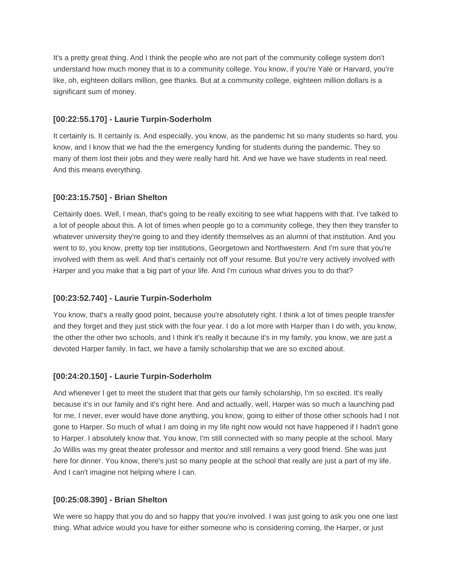It's a pretty great thing. And I think the people who are not part of the community college system don't understand how much money that is to a community college. You know, if you're Yale or Harvard, you're like, oh, eighteen dollars million, gee thanks. But at a community college, eighteen million dollars is a significant sum of money.

### **[00:22:55.170] - Laurie Turpin-Soderholm**

It certainly is. It certainly is. And especially, you know, as the pandemic hit so many students so hard, you know, and I know that we had the the emergency funding for students during the pandemic. They so many of them lost their jobs and they were really hard hit. And we have we have students in real need. And this means everything.

### **[00:23:15.750] - Brian Shelton**

Certainly does. Well, I mean, that's going to be really exciting to see what happens with that. I've talked to a lot of people about this. A lot of times when people go to a community college, they then they transfer to whatever university they're going to and they identify themselves as an alumni of that institution. And you went to to, you know, pretty top tier institutions, Georgetown and Northwestern. And I'm sure that you're involved with them as well. And that's certainly not off your resume. But you're very actively involved with Harper and you make that a big part of your life. And I'm curious what drives you to do that?

#### **[00:23:52.740] - Laurie Turpin-Soderholm**

You know, that's a really good point, because you're absolutely right. I think a lot of times people transfer and they forget and they just stick with the four year. I do a lot more with Harper than I do with, you know, the other the other two schools, and I think it's really it because it's in my family, you know, we are just a devoted Harper family. In fact, we have a family scholarship that we are so excited about.

### **[00:24:20.150] - Laurie Turpin-Soderholm**

And whenever I get to meet the student that that gets our family scholarship, I'm so excited. It's really because it's in our family and it's right here. And and actually, well, Harper was so much a launching pad for me, I never, ever would have done anything, you know, going to either of those other schools had I not gone to Harper. So much of what I am doing in my life right now would not have happened if I hadn't gone to Harper. I absolutely know that. You know, I'm still connected with so many people at the school. Mary Jo Willis was my great theater professor and mentor and still remains a very good friend. She was just here for dinner. You know, there's just so many people at the school that really are just a part of my life. And I can't imagine not helping where I can.

### **[00:25:08.390] - Brian Shelton**

We were so happy that you do and so happy that you're involved. I was just going to ask you one one last thing. What advice would you have for either someone who is considering coming, the Harper, or just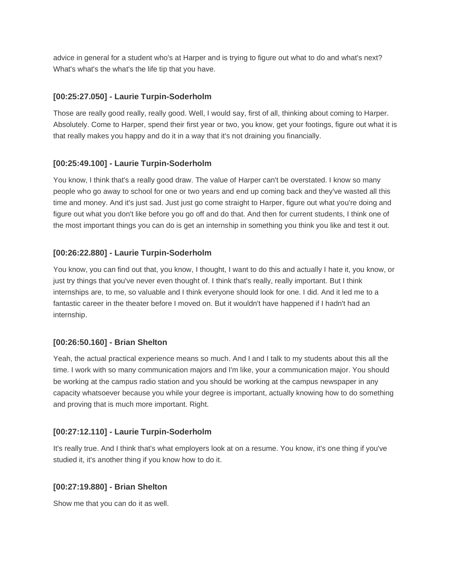advice in general for a student who's at Harper and is trying to figure out what to do and what's next? What's what's the what's the life tip that you have.

### **[00:25:27.050] - Laurie Turpin-Soderholm**

Those are really good really, really good. Well, I would say, first of all, thinking about coming to Harper. Absolutely. Come to Harper, spend their first year or two, you know, get your footings, figure out what it is that really makes you happy and do it in a way that it's not draining you financially.

# **[00:25:49.100] - Laurie Turpin-Soderholm**

You know, I think that's a really good draw. The value of Harper can't be overstated. I know so many people who go away to school for one or two years and end up coming back and they've wasted all this time and money. And it's just sad. Just just go come straight to Harper, figure out what you're doing and figure out what you don't like before you go off and do that. And then for current students, I think one of the most important things you can do is get an internship in something you think you like and test it out.

# **[00:26:22.880] - Laurie Turpin-Soderholm**

You know, you can find out that, you know, I thought, I want to do this and actually I hate it, you know, or just try things that you've never even thought of. I think that's really, really important. But I think internships are, to me, so valuable and I think everyone should look for one. I did. And it led me to a fantastic career in the theater before I moved on. But it wouldn't have happened if I hadn't had an internship.

### **[00:26:50.160] - Brian Shelton**

Yeah, the actual practical experience means so much. And I and I talk to my students about this all the time. I work with so many communication majors and I'm like, your a communication major. You should be working at the campus radio station and you should be working at the campus newspaper in any capacity whatsoever because you while your degree is important, actually knowing how to do something and proving that is much more important. Right.

# **[00:27:12.110] - Laurie Turpin-Soderholm**

It's really true. And I think that's what employers look at on a resume. You know, it's one thing if you've studied it, it's another thing if you know how to do it.

### **[00:27:19.880] - Brian Shelton**

Show me that you can do it as well.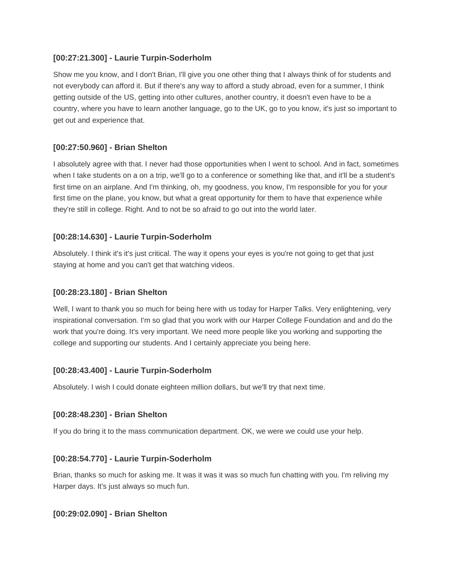### **[00:27:21.300] - Laurie Turpin-Soderholm**

Show me you know, and I don't Brian, I'll give you one other thing that I always think of for students and not everybody can afford it. But if there's any way to afford a study abroad, even for a summer, I think getting outside of the US, getting into other cultures, another country, it doesn't even have to be a country, where you have to learn another language, go to the UK, go to you know, it's just so important to get out and experience that.

## **[00:27:50.960] - Brian Shelton**

I absolutely agree with that. I never had those opportunities when I went to school. And in fact, sometimes when I take students on a on a trip, we'll go to a conference or something like that, and it'll be a student's first time on an airplane. And I'm thinking, oh, my goodness, you know, I'm responsible for you for your first time on the plane, you know, but what a great opportunity for them to have that experience while they're still in college. Right. And to not be so afraid to go out into the world later.

## **[00:28:14.630] - Laurie Turpin-Soderholm**

Absolutely. I think it's it's just critical. The way it opens your eyes is you're not going to get that just staying at home and you can't get that watching videos.

### **[00:28:23.180] - Brian Shelton**

Well, I want to thank you so much for being here with us today for Harper Talks. Very enlightening, very inspirational conversation. I'm so glad that you work with our Harper College Foundation and and do the work that you're doing. It's very important. We need more people like you working and supporting the college and supporting our students. And I certainly appreciate you being here.

# **[00:28:43.400] - Laurie Turpin-Soderholm**

Absolutely. I wish I could donate eighteen million dollars, but we'll try that next time.

### **[00:28:48.230] - Brian Shelton**

If you do bring it to the mass communication department. OK, we were we could use your help.

### **[00:28:54.770] - Laurie Turpin-Soderholm**

Brian, thanks so much for asking me. It was it was it was so much fun chatting with you. I'm reliving my Harper days. It's just always so much fun.

### **[00:29:02.090] - Brian Shelton**